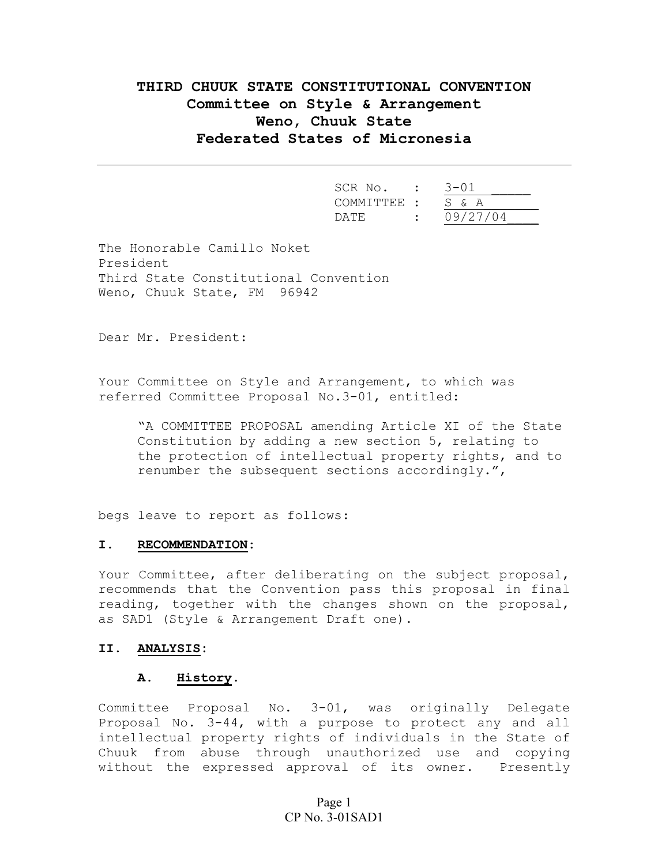# **THIRD CHUUK STATE CONSTITUTIONAL CONVENTION Committee on Style & Arrangement Weno, Chuuk State Federated States of Micronesia**

| SCR  | No.<br>$\sim$<br>$\bullet$ | 3-01     |
|------|----------------------------|----------|
|      | COMMITTEE : S & A          |          |
| DATF | $\bullet$                  | 09/27/04 |

The Honorable Camillo Noket President Third State Constitutional Convention Weno, Chuuk State, FM 96942

Dear Mr. President:

Your Committee on Style and Arrangement, to which was referred Committee Proposal No.3-01, entitled:

"A COMMITTEE PROPOSAL amending Article XI of the State Constitution by adding a new section 5, relating to the protection of intellectual property rights, and to renumber the subsequent sections accordingly.",

begs leave to report as follows:

#### **I. RECOMMENDATION:**

Your Committee, after deliberating on the subject proposal, recommends that the Convention pass this proposal in final reading, together with the changes shown on the proposal, as SAD1 (Style & Arrangement Draft one).

## **II. ANALYSIS:**

## **A. History.**

Committee Proposal No. 3-01, was originally Delegate Proposal No. 3-44, with a purpose to protect any and all intellectual property rights of individuals in the State of Chuuk from abuse through unauthorized use and copying without the expressed approval of its owner. Presently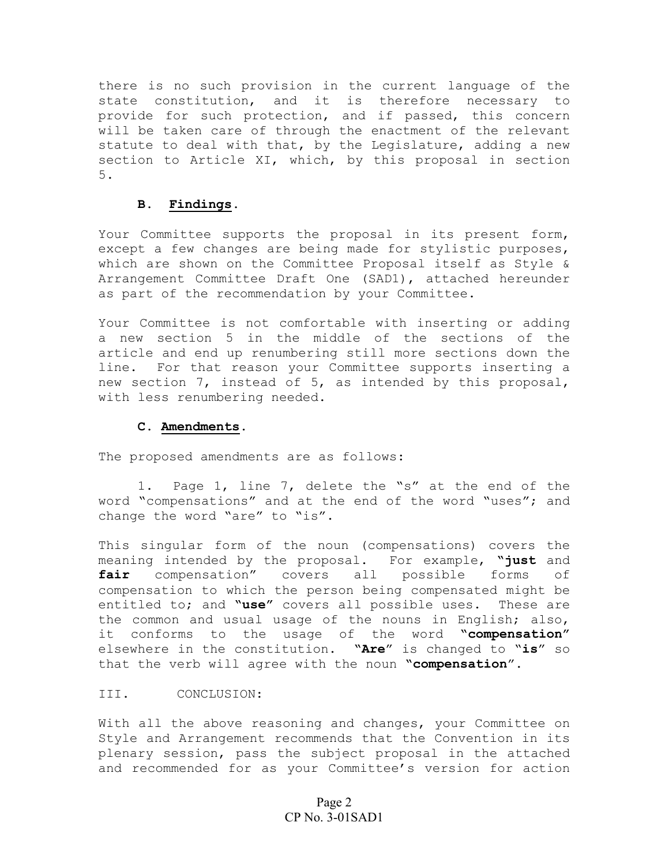there is no such provision in the current language of the state constitution, and it is therefore necessary to provide for such protection, and if passed, this concern will be taken care of through the enactment of the relevant statute to deal with that, by the Legislature, adding a new section to Article XI, which, by this proposal in section 5.

## **B. Findings.**

Your Committee supports the proposal in its present form, except a few changes are being made for stylistic purposes, which are shown on the Committee Proposal itself as Style & Arrangement Committee Draft One (SAD1), attached hereunder as part of the recommendation by your Committee.

Your Committee is not comfortable with inserting or adding a new section 5 in the middle of the sections of the article and end up renumbering still more sections down the line. For that reason your Committee supports inserting a new section 7, instead of 5, as intended by this proposal, with less renumbering needed.

### **C. Amendments.**

The proposed amendments are as follows:

1. Page 1, line 7, delete the "s" at the end of the word "compensations" and at the end of the word "uses"; and change the word "are" to "is".

This singular form of the noun (compensations) covers the meaning intended by the proposal. For example, **"just** and **fair** compensation" covers all possible forms of compensation to which the person being compensated might be entitled to; and **"use"** covers all possible uses. These are the common and usual usage of the nouns in English; also, it conforms to the usage of the word **"compensation"** elsewhere in the constitution. **"Are**" is changed to "**is**" so that the verb will agree with the noun **"compensation**".

#### III. CONCLUSION:

With all the above reasoning and changes, your Committee on Style and Arrangement recommends that the Convention in its plenary session, pass the subject proposal in the attached and recommended for as your Committee's version for action

# Page 2 CP No. 3-01SAD1